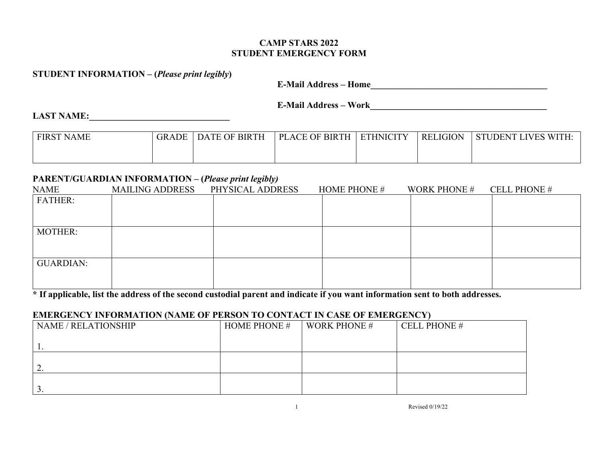### **CAMP STARS 2022 STUDENT EMERGENCY FORM**

#### **STUDENT INFORMATION – (***Please print legibly***)**

**E-Mail Address – Home\_\_\_\_\_\_\_\_\_\_\_\_\_\_\_\_\_\_\_\_\_\_\_\_\_\_\_\_\_\_\_\_\_\_\_\_\_\_\_**

**E-Mail Address – Work\_\_\_\_\_\_\_\_\_\_\_\_\_\_\_\_\_\_\_\_\_\_\_\_\_\_\_\_\_\_\_\_\_\_\_\_\_\_\_**

#### **LAST NAME:\_\_\_\_\_\_\_\_\_\_\_\_\_\_\_\_\_\_\_\_\_\_\_\_\_\_\_\_\_\_\_**

| <b>FIRST NAME</b> | <b>GRADE</b> | <b>DATE OF BIRTH</b> | <b>PLACE OF BIRTH</b> | <b>ETHNICITY</b> | <b>RELIGION</b> | <b>LIVES WITH:</b><br><b>STUDENT I</b> |
|-------------------|--------------|----------------------|-----------------------|------------------|-----------------|----------------------------------------|
|                   |              |                      |                       |                  |                 |                                        |

## **PARENT/GUARDIAN INFORMATION – (***Please print legibly)*

| <b>NAME</b>      | <b>MAILING ADDRESS</b> | $\overline{1}$ $\overline{0}$ $\overline{z}$<br>PHYSICAL ADDRESS | <b>HOME PHONE #</b> | <b>WORK PHONE #</b> | <b>CELL PHONE #</b> |
|------------------|------------------------|------------------------------------------------------------------|---------------------|---------------------|---------------------|
| <b>FATHER:</b>   |                        |                                                                  |                     |                     |                     |
|                  |                        |                                                                  |                     |                     |                     |
|                  |                        |                                                                  |                     |                     |                     |
| <b>MOTHER:</b>   |                        |                                                                  |                     |                     |                     |
|                  |                        |                                                                  |                     |                     |                     |
|                  |                        |                                                                  |                     |                     |                     |
| <b>GUARDIAN:</b> |                        |                                                                  |                     |                     |                     |
|                  |                        |                                                                  |                     |                     |                     |
|                  |                        |                                                                  |                     |                     |                     |

**\* If applicable, list the address of the second custodial parent and indicate if you want information sent to both addresses.**

## **EMERGENCY INFORMATION (NAME OF PERSON TO CONTACT IN CASE OF EMERGENCY)**

| <b>NAME / RELATIONSHIP</b> | <b>HOME PHONE #</b> | <b>WORK PHONE #</b> | <b>CELL PHONE #</b> |
|----------------------------|---------------------|---------------------|---------------------|
|                            |                     |                     |                     |
|                            |                     |                     |                     |
| ـ ت                        |                     |                     |                     |
|                            |                     |                     |                     |
| ັ                          |                     |                     |                     |